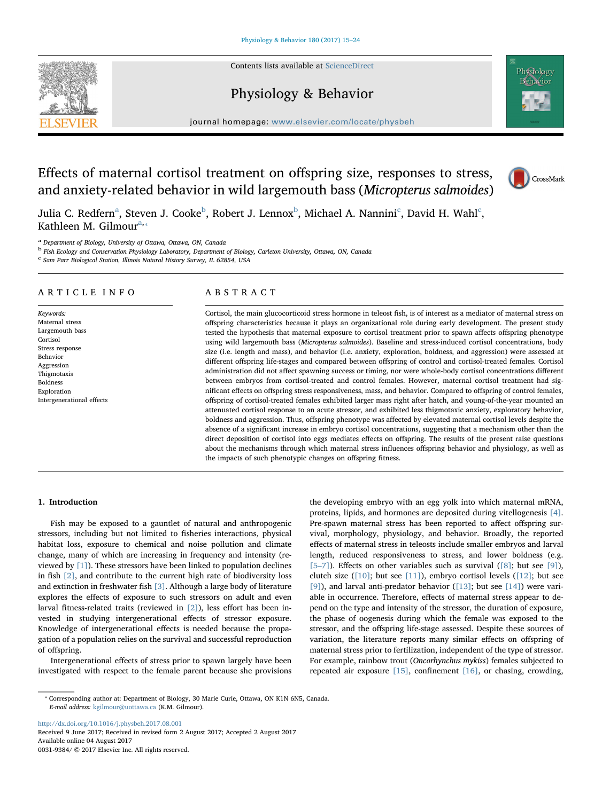

Contents lists available at [ScienceDirect](http://www.sciencedirect.com/science/journal/00319384) Physiology & Behavior

journal homepage: [www.elsevier.com/locate/physbeh](http://www.elsevier.com/locate/physbeh)

# Effects of maternal cortisol treatment on offspring size, responses to stress, and anxiety-related behavior in wild largemouth bass (Micropterus salmoides)



Juli[a](#page-0-0) C. Redfern $^{\rm a}$ , Steven J. Cooke $^{\rm b}$  $^{\rm b}$  $^{\rm b}$ , Robert J. Lennox $^{\rm b}$ , Mi[c](#page-0-2)hael A. Nannini $^{\rm c}$ , David H. Wahl $^{\rm c}$ , Kathleen M. Gilmour $a_{n*}$ 

<span id="page-0-0"></span><sup>a</sup> Department of Biology, University of Ottawa, Ottawa, ON, Canada

<span id="page-0-1"></span><sup>b</sup> Fish Ecology and Conservation Physiology Laboratory, Department of Biology, Carleton University, Ottawa, ON, Canada

<span id="page-0-2"></span><sup>c</sup> Sam Parr Biological Station, Illinois Natural History Survey, IL 62854, USA

# ARTICLE INFO

Keywords: Maternal stress Largemouth bass Cortisol Stress response Behavior Aggression Thigmotaxis Boldness Exploration Intergenerational effects

# ABSTRACT

Cortisol, the main glucocorticoid stress hormone in teleost fish, is of interest as a mediator of maternal stress on offspring characteristics because it plays an organizational role during early development. The present study tested the hypothesis that maternal exposure to cortisol treatment prior to spawn affects offspring phenotype using wild largemouth bass (Micropterus salmoides). Baseline and stress-induced cortisol concentrations, body size (i.e. length and mass), and behavior (i.e. anxiety, exploration, boldness, and aggression) were assessed at different offspring life-stages and compared between offspring of control and cortisol-treated females. Cortisol administration did not affect spawning success or timing, nor were whole-body cortisol concentrations different between embryos from cortisol-treated and control females. However, maternal cortisol treatment had significant effects on offspring stress responsiveness, mass, and behavior. Compared to offspring of control females, offspring of cortisol-treated females exhibited larger mass right after hatch, and young-of-the-year mounted an attenuated cortisol response to an acute stressor, and exhibited less thigmotaxic anxiety, exploratory behavior, boldness and aggression. Thus, offspring phenotype was affected by elevated maternal cortisol levels despite the absence of a significant increase in embryo cortisol concentrations, suggesting that a mechanism other than the direct deposition of cortisol into eggs mediates effects on offspring. The results of the present raise questions about the mechanisms through which maternal stress influences offspring behavior and physiology, as well as the impacts of such phenotypic changes on offspring fitness.

# 1. Introduction

Fish may be exposed to a gauntlet of natural and anthropogenic stressors, including but not limited to fisheries interactions, physical habitat loss, exposure to chemical and noise pollution and climate change, many of which are increasing in frequency and intensity (reviewed by [\[1\]\)](#page-8-0). These stressors have been linked to population declines in fish [\[2\]](#page-8-1), and contribute to the current high rate of biodiversity loss and extinction in freshwater fish [\[3\].](#page-8-2) Although a large body of literature explores the effects of exposure to such stressors on adult and even larval fitness-related traits (reviewed in [\[2\]](#page-8-1)), less effort has been invested in studying intergenerational effects of stressor exposure. Knowledge of intergenerational effects is needed because the propagation of a population relies on the survival and successful reproduction of offspring.

Intergenerational effects of stress prior to spawn largely have been investigated with respect to the female parent because she provisions the developing embryo with an egg yolk into which maternal mRNA, proteins, lipids, and hormones are deposited during vitellogenesis [\[4\]](#page-8-3). Pre-spawn maternal stress has been reported to affect offspring survival, morphology, physiology, and behavior. Broadly, the reported effects of maternal stress in teleosts include smaller embryos and larval length, reduced responsiveness to stress, and lower boldness (e.g. [5–[7\]](#page-8-4)). Effects on other variables such as survival ( $[8]$ ; but see  $[9]$ ), clutch size  $([10]$ ; but see  $[11]$ ), embryo cortisol levels  $([12]$  $([12]$ ; but see [\[9\]\)](#page-8-6), and larval anti-predator behavior ([\[13\];](#page-8-10) but see [\[14\]\)](#page-8-11) were variable in occurrence. Therefore, effects of maternal stress appear to depend on the type and intensity of the stressor, the duration of exposure, the phase of oogenesis during which the female was exposed to the stressor, and the offspring life-stage assessed. Despite these sources of variation, the literature reports many similar effects on offspring of maternal stress prior to fertilization, independent of the type of stressor. For example, rainbow trout (Oncorhynchus mykiss) females subjected to repeated air exposure [\[15\]](#page-8-12), confinement [\[16\]](#page-8-13), or chasing, crowding,

<http://dx.doi.org/10.1016/j.physbeh.2017.08.001> Received 9 June 2017; Received in revised form 2 August 2017; Accepted 2 August 2017 Available online 04 August 2017

0031-9384/ © 2017 Elsevier Inc. All rights reserved.

<span id="page-0-3"></span><sup>⁎</sup> Corresponding author at: Department of Biology, 30 Marie Curie, Ottawa, ON K1N 6N5, Canada. E-mail address: [kgilmour@uottawa.ca](mailto:kgilmour@uottawa.ca) (K.M. Gilmour).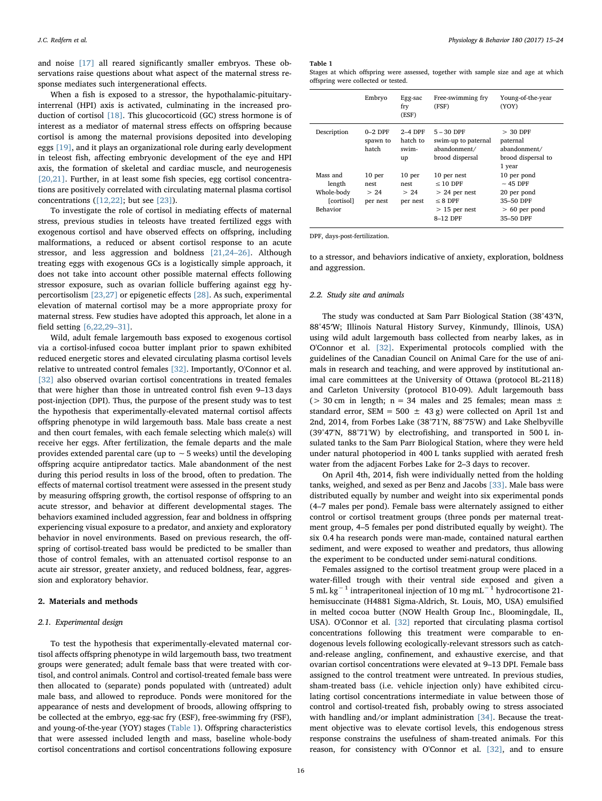and noise [\[17\]](#page-8-14) all reared significantly smaller embryos. These observations raise questions about what aspect of the maternal stress response mediates such intergenerational effects.

When a fish is exposed to a stressor, the hypothalamic-pituitaryinterrenal (HPI) axis is activated, culminating in the increased production of cortisol [\[18\].](#page-8-15) This glucocorticoid (GC) stress hormone is of interest as a mediator of maternal stress effects on offspring because cortisol is among the maternal provisions deposited into developing eggs [\[19\],](#page-8-16) and it plays an organizational role during early development in teleost fish, affecting embryonic development of the eye and HPI axis, the formation of skeletal and cardiac muscle, and neurogenesis [\[20,21\].](#page-8-17) Further, in at least some fish species, egg cortisol concentrations are positively correlated with circulating maternal plasma cortisol concentrations  $([12, 22]$ ; but see  $[23]$ ).

To investigate the role of cortisol in mediating effects of maternal stress, previous studies in teleosts have treated fertilized eggs with exogenous cortisol and have observed effects on offspring, including malformations, a reduced or absent cortisol response to an acute stressor, and less aggression and boldness [\[21,24](#page-8-19)–26]. Although treating eggs with exogenous GCs is a logistically simple approach, it does not take into account other possible maternal effects following stressor exposure, such as ovarian follicle buffering against egg hypercortisolism [\[23,27\]](#page-8-18) or epigenetic effects [\[28\]](#page-8-20). As such, experimental elevation of maternal cortisol may be a more appropriate proxy for maternal stress. Few studies have adopted this approach, let alone in a field setting [\[6,22,29](#page-8-21)–31].

Wild, adult female largemouth bass exposed to exogenous cortisol via a cortisol-infused cocoa butter implant prior to spawn exhibited reduced energetic stores and elevated circulating plasma cortisol levels relative to untreated control females [\[32\].](#page-8-22) Importantly, O'Connor et al. [\[32\]](#page-8-22) also observed ovarian cortisol concentrations in treated females that were higher than those in untreated control fish even 9–13 days post-injection (DPI). Thus, the purpose of the present study was to test the hypothesis that experimentally-elevated maternal cortisol affects offspring phenotype in wild largemouth bass. Male bass create a nest and then court females, with each female selecting which male(s) will receive her eggs. After fertilization, the female departs and the male provides extended parental care (up to ∼5 weeks) until the developing offspring acquire antipredator tactics. Male abandonment of the nest during this period results in loss of the brood, often to predation. The effects of maternal cortisol treatment were assessed in the present study by measuring offspring growth, the cortisol response of offspring to an acute stressor, and behavior at different developmental stages. The behaviors examined included aggression, fear and boldness in offspring experiencing visual exposure to a predator, and anxiety and exploratory behavior in novel environments. Based on previous research, the offspring of cortisol-treated bass would be predicted to be smaller than those of control females, with an attenuated cortisol response to an acute air stressor, greater anxiety, and reduced boldness, fear, aggression and exploratory behavior.

#### 2. Materials and methods

#### 2.1. Experimental design

To test the hypothesis that experimentally-elevated maternal cortisol affects offspring phenotype in wild largemouth bass, two treatment groups were generated; adult female bass that were treated with cortisol, and control animals. Control and cortisol-treated female bass were then allocated to (separate) ponds populated with (untreated) adult male bass, and allowed to reproduce. Ponds were monitored for the appearance of nests and development of broods, allowing offspring to be collected at the embryo, egg-sac fry (ESF), free-swimming fry (FSF), and young-of-the-year (YOY) stages ([Table 1](#page-1-0)). Offspring characteristics that were assessed included length and mass, baseline whole-body cortisol concentrations and cortisol concentrations following exposure

#### <span id="page-1-0"></span>Table 1

Stages at which offspring were assessed, together with sample size and age at which offspring were collected or tested.

|                                                            | Embryo                                        | Egg-sac<br>fry<br>(ESF)                       | Free-swimming fry<br>(FSF)                                                              | Young-of-the-year<br><b>(YOY)</b>                                                        |
|------------------------------------------------------------|-----------------------------------------------|-----------------------------------------------|-----------------------------------------------------------------------------------------|------------------------------------------------------------------------------------------|
| Description                                                | $0-2$ DPF<br>spawn to<br>hatch                | $2-4$ DPF<br>hatch to<br>swim-<br>up          | $5 - 30$ DPF<br>swim-up to paternal<br>abandonment/<br>brood dispersal                  | $> 30$ DPF<br>paternal<br>abandonment/<br>brood dispersal to<br>1 year                   |
| Mass and<br>length<br>Whole-body<br>[cortisol]<br>Behavior | 10 <sub>per</sub><br>nest<br>> 24<br>per nest | 10 <sub>per</sub><br>nest<br>> 24<br>per nest | 10 per nest<br>$< 10$ DPF<br>$> 24$ per nest<br>$< 8$ DPF<br>$>15$ per nest<br>8-12 DPF | 10 per pond<br>$\sim$ 45 DPF<br>20 per pond<br>35-50 DPF<br>$> 60$ per pond<br>35-50 DPF |

DPF, days-post-fertilization.

to a stressor, and behaviors indicative of anxiety, exploration, boldness and aggression.

### 2.2. Study site and animals

The study was conducted at Sam Parr Biological Station (38°43′N, 88°45′W; Illinois Natural History Survey, Kinmundy, Illinois, USA) using wild adult largemouth bass collected from nearby lakes, as in O'Connor et al. [\[32\].](#page-8-22) Experimental protocols complied with the guidelines of the Canadian Council on Animal Care for the use of animals in research and teaching, and were approved by institutional animal care committees at the University of Ottawa (protocol BL-2118) and Carleton University (protocol B10-09). Adult largemouth bass ( $>$  30 cm in length; n = 34 males and 25 females; mean mass  $\pm$ standard error, SEM = 500  $\pm$  43 g) were collected on April 1st and 2nd, 2014, from Forbes Lake (38°71'N, 88°75'W) and Lake Shelbyville (39°47'N, 88°71'W) by electrofishing, and transported in 500 L insulated tanks to the Sam Parr Biological Station, where they were held under natural photoperiod in 400 L tanks supplied with aerated fresh water from the adjacent Forbes Lake for 2–3 days to recover.

On April 4th, 2014, fish were individually netted from the holding tanks, weighed, and sexed as per Benz and Jacobs [\[33\].](#page-8-23) Male bass were distributed equally by number and weight into six experimental ponds (4–7 males per pond). Female bass were alternately assigned to either control or cortisol treatment groups (three ponds per maternal treatment group, 4–5 females per pond distributed equally by weight). The six 0.4 ha research ponds were man-made, contained natural earthen sediment, and were exposed to weather and predators, thus allowing the experiment to be conducted under semi-natural conditions.

Females assigned to the cortisol treatment group were placed in a water-filled trough with their ventral side exposed and given a 5 mL kg−<sup>1</sup> intraperitoneal injection of 10 mg mL−<sup>1</sup> hydrocortisone 21 hemisuccinate (H4881 Sigma-Aldrich, St. Louis, MO, USA) emulsified in melted cocoa butter (NOW Health Group Inc., Bloomingdale, IL, USA). O'Connor et al. [\[32\]](#page-8-22) reported that circulating plasma cortisol concentrations following this treatment were comparable to endogenous levels following ecologically-relevant stressors such as catchand-release angling, confinement, and exhaustive exercise, and that ovarian cortisol concentrations were elevated at 9–13 DPI. Female bass assigned to the control treatment were untreated. In previous studies, sham-treated bass (i.e. vehicle injection only) have exhibited circulating cortisol concentrations intermediate in value between those of control and cortisol-treated fish, probably owing to stress associated with handling and/or implant administration [\[34\].](#page-8-24) Because the treatment objective was to elevate cortisol levels, this endogenous stress response constrains the usefulness of sham-treated animals. For this reason, for consistency with O'Connor et al. [\[32\]](#page-8-22), and to ensure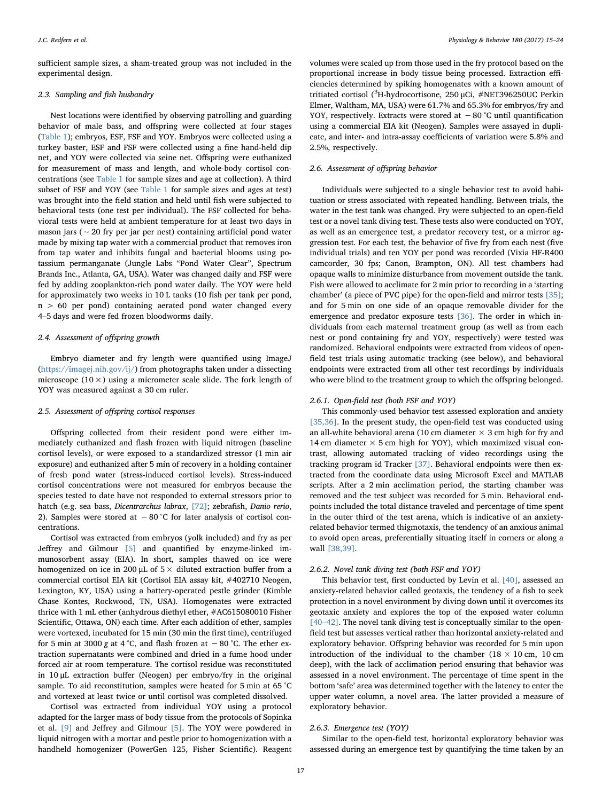sufficient sample sizes, a sham-treated group was not included in the experimental design.

#### 2.3. Sampling and fish husbandry

Nest locations were identified by observing patrolling and guarding behavior of male bass, and offspring were collected at four stages ([Table 1\)](#page-1-0); embryos, ESF, FSF and YOY. Embryos were collected using a turkey baster, ESF and FSF were collected using a fine hand-held dip net, and YOY were collected via seine net. Offspring were euthanized for measurement of mass and length, and whole-body cortisol concentrations (see [Table 1](#page-1-0) for sample sizes and age at collection). A third subset of FSF and YOY (see [Table 1](#page-1-0) for sample sizes and ages at test) was brought into the field station and held until fish were subjected to behavioral tests (one test per individual). The FSF collected for behavioral tests were held at ambient temperature for at least two days in mason jars (∼20 fry per jar per nest) containing artificial pond water made by mixing tap water with a commercial product that removes iron from tap water and inhibits fungal and bacterial blooms using potassium permanganate (Jungle Labs "Pond Water Clear", Spectrum Brands Inc., Atlanta, GA, USA). Water was changed daily and FSF were fed by adding zooplankton-rich pond water daily. The YOY were held for approximately two weeks in 10 L tanks (10 fish per tank per pond, n > 60 per pond) containing aerated pond water changed every 4–5 days and were fed frozen bloodworms daily.

#### 2.4. Assessment of offspring growth

Embryo diameter and fry length were quantified using ImageJ (<https://imagej.nih.gov/ij/>) from photographs taken under a dissecting microscope ( $10 \times$ ) using a micrometer scale slide. The fork length of YOY was measured against a 30 cm ruler.

### 2.5. Assessment of offspring cortisol responses

Offspring collected from their resident pond were either immediately euthanized and flash frozen with liquid nitrogen (baseline cortisol levels), or were exposed to a standardized stressor (1 min air exposure) and euthanized after 5 min of recovery in a holding container of fresh pond water (stress-induced cortisol levels). Stress-induced cortisol concentrations were not measured for embryos because the species tested to date have not responded to external stressors prior to hatch (e.g. sea bass, Dicentrarchus labrax, [\[72\]](#page-9-0); zebrafish, Danio rerio, 2). Samples were stored at −80 °C for later analysis of cortisol concentrations.

Cortisol was extracted from embryos (yolk included) and fry as per Jeffrey and Gilmour [\[5\]](#page-8-4) and quantified by enzyme-linked immunosorbent assay (EIA). In short, samples thawed on ice were homogenized on ice in 200  $\mu$ L of 5  $\times$  diluted extraction buffer from a commercial cortisol EIA kit (Cortisol EIA assay kit, #402710 Neogen, Lexington, KY, USA) using a battery-operated pestle grinder (Kimble Chase Kontes, Rockwood, TN, USA). Homogenates were extracted thrice with 1 mL ether (anhydrous diethyl ether, #AC615080010 Fisher Scientific, Ottawa, ON) each time. After each addition of ether, samples were vortexed, incubated for 15 min (30 min the first time), centrifuged for 5 min at 3000 g at 4 °C, and flash frozen at  $-80$  °C. The ether extraction supernatants were combined and dried in a fume hood under forced air at room temperature. The cortisol residue was reconstituted in 10 μL extraction buffer (Neogen) per embryo/fry in the original sample. To aid reconstitution, samples were heated for 5 min at 65 °C and vortexed at least twice or until cortisol was completed dissolved.

Cortisol was extracted from individual YOY using a protocol adapted for the larger mass of body tissue from the protocols of Sopinka et al. [\[9\]](#page-8-6) and Jeffrey and Gilmour [\[5\]](#page-8-4). The YOY were powdered in liquid nitrogen with a mortar and pestle prior to homogenization with a handheld homogenizer (PowerGen 125, Fisher Scientific). Reagent

volumes were scaled up from those used in the fry protocol based on the proportional increase in body tissue being processed. Extraction efficiencies determined by spiking homogenates with a known amount of tritiated cortisol (<sup>3</sup>H-hydrocortisone, 250 μCi, #NET396250UC Perkin Elmer, Waltham, MA, USA) were 61.7% and 65.3% for embryos/fry and YOY, respectively. Extracts were stored at −80 °C until quantification using a commercial EIA kit (Neogen). Samples were assayed in duplicate, and inter- and intra-assay coefficients of variation were 5.8% and 2.5%, respectively.

# 2.6. Assessment of offspring behavior

Individuals were subjected to a single behavior test to avoid habituation or stress associated with repeated handling. Between trials, the water in the test tank was changed. Fry were subjected to an open-field test or a novel tank diving test. These tests also were conducted on YOY, as well as an emergence test, a predator recovery test, or a mirror aggression test. For each test, the behavior of five fry from each nest (five individual trials) and ten YOY per pond was recorded (Vixia HF-R400 camcorder, 30 fps; Canon, Brampton, ON). All test chambers had opaque walls to minimize disturbance from movement outside the tank. Fish were allowed to acclimate for 2 min prior to recording in a 'starting chamber' (a piece of PVC pipe) for the open-field and mirror tests [\[35\]](#page-8-25); and for 5 min on one side of an opaque removable divider for the emergence and predator exposure tests [\[36\].](#page-8-26) The order in which individuals from each maternal treatment group (as well as from each nest or pond containing fry and YOY, respectively) were tested was randomized. Behavioral endpoints were extracted from videos of openfield test trials using automatic tracking (see below), and behavioral endpoints were extracted from all other test recordings by individuals who were blind to the treatment group to which the offspring belonged.

#### 2.6.1. Open-field test (both FSF and YOY)

This commonly-used behavior test assessed exploration and anxiety [\[35,36\].](#page-8-25) In the present study, the open-field test was conducted using an all-white behavioral arena (10 cm diameter  $\times$  3 cm high for fry and 14 cm diameter  $\times$  5 cm high for YOY), which maximized visual contrast, allowing automated tracking of video recordings using the tracking program id Tracker [\[37\]](#page-8-27). Behavioral endpoints were then extracted from the coordinate data using Microsoft Excel and MATLAB scripts. After a 2 min acclimation period, the starting chamber was removed and the test subject was recorded for 5 min. Behavioral endpoints included the total distance traveled and percentage of time spent in the outer third of the test arena, which is indicative of an anxietyrelated behavior termed thigmotaxis, the tendency of an anxious animal to avoid open areas, preferentially situating itself in corners or along a wall [\[38,39\]](#page-8-28).

#### 2.6.2. Novel tank diving test (both FSF and YOY)

This behavior test, first conducted by Levin et al. [\[40\],](#page-8-29) assessed an anxiety-related behavior called geotaxis, the tendency of a fish to seek protection in a novel environment by diving down until it overcomes its geotaxic anxiety and explores the top of the exposed water column [40–[42\]](#page-8-29). The novel tank diving test is conceptually similar to the openfield test but assesses vertical rather than horizontal anxiety-related and exploratory behavior. Offspring behavior was recorded for 5 min upon introduction of the individual to the chamber ( $18 \times 10$  cm,  $10$  cm deep), with the lack of acclimation period ensuring that behavior was assessed in a novel environment. The percentage of time spent in the bottom 'safe' area was determined together with the latency to enter the upper water column, a novel area. The latter provided a measure of exploratory behavior.

#### 2.6.3. Emergence test (YOY)

Similar to the open-field test, horizontal exploratory behavior was assessed during an emergence test by quantifying the time taken by an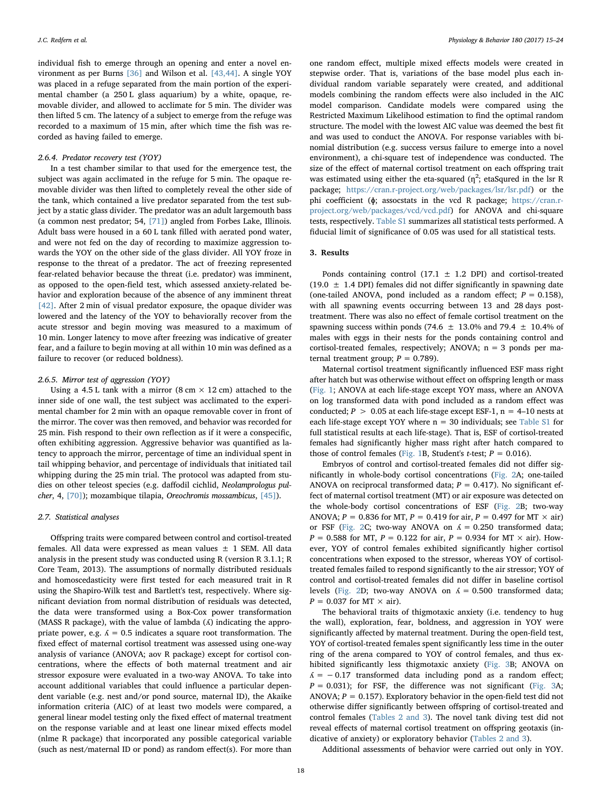individual fish to emerge through an opening and enter a novel environment as per Burns [\[36\]](#page-8-26) and Wilson et al. [\[43,44\].](#page-8-30) A single YOY was placed in a refuge separated from the main portion of the experimental chamber (a 250 L glass aquarium) by a white, opaque, removable divider, and allowed to acclimate for 5 min. The divider was then lifted 5 cm. The latency of a subject to emerge from the refuge was recorded to a maximum of 15 min, after which time the fish was recorded as having failed to emerge.

### 2.6.4. Predator recovery test (YOY)

In a test chamber similar to that used for the emergence test, the subject was again acclimated in the refuge for 5 min. The opaque removable divider was then lifted to completely reveal the other side of the tank, which contained a live predator separated from the test subject by a static glass divider. The predator was an adult largemouth bass (a common nest predator; 54, [\[71\]\)](#page-9-1) angled from Forbes Lake, Illinois. Adult bass were housed in a 60 L tank filled with aerated pond water, and were not fed on the day of recording to maximize aggression towards the YOY on the other side of the glass divider. All YOY froze in response to the threat of a predator. The act of freezing represented fear-related behavior because the threat (i.e. predator) was imminent, as opposed to the open-field test, which assessed anxiety-related behavior and exploration because of the absence of any imminent threat [\[42\]](#page-8-31). After 2 min of visual predator exposure, the opaque divider was lowered and the latency of the YOY to behaviorally recover from the acute stressor and begin moving was measured to a maximum of 10 min. Longer latency to move after freezing was indicative of greater fear, and a failure to begin moving at all within 10 min was defined as a failure to recover (or reduced boldness).

# 2.6.5. Mirror test of aggression (YOY)

Using a 4.5 L tank with a mirror  $(8 \text{ cm} \times 12 \text{ cm})$  attached to the inner side of one wall, the test subject was acclimated to the experimental chamber for 2 min with an opaque removable cover in front of the mirror. The cover was then removed, and behavior was recorded for 25 min. Fish respond to their own reflection as if it were a conspecific, often exhibiting aggression. Aggressive behavior was quantified as latency to approach the mirror, percentage of time an individual spent in tail whipping behavior, and percentage of individuals that initiated tail whipping during the 25 min trial. The protocol was adapted from studies on other teleost species (e.g. daffodil cichlid, Neolamprologus pulcher, 4, [\[70\]\)](#page-9-2); mozambique tilapia, Oreochromis mossambicus, [\[45\]](#page-8-32)).

#### 2.7. Statistical analyses

Offspring traits were compared between control and cortisol-treated females. All data were expressed as mean values  $\pm$  1 SEM. All data analysis in the present study was conducted using R (version R 3.1.1; R Core Team, 2013). The assumptions of normally distributed residuals and homoscedasticity were first tested for each measured trait in R using the Shapiro-Wilk test and Bartlett's test, respectively. Where significant deviation from normal distribution of residuals was detected, the data were transformed using a Box-Cox power transformation (MASS R package), with the value of lambda  $(A)$  indicating the appropriate power, e.g.  $\Lambda = 0.5$  indicates a square root transformation. The fixed effect of maternal cortisol treatment was assessed using one-way analysis of variance (ANOVA; aov R package) except for cortisol concentrations, where the effects of both maternal treatment and air stressor exposure were evaluated in a two-way ANOVA. To take into account additional variables that could influence a particular dependent variable (e.g. nest and/or pond source, maternal ID), the Akaike information criteria (AIC) of at least two models were compared, a general linear model testing only the fixed effect of maternal treatment on the response variable and at least one linear mixed effects model (nlme R package) that incorporated any possible categorical variable (such as nest/maternal ID or pond) as random effect(s). For more than

one random effect, multiple mixed effects models were created in stepwise order. That is, variations of the base model plus each individual random variable separately were created, and additional models combining the random effects were also included in the AIC model comparison. Candidate models were compared using the Restricted Maximum Likelihood estimation to find the optimal random structure. The model with the lowest AIC value was deemed the best fit and was used to conduct the ANOVA. For response variables with binomial distribution (e.g. success versus failure to emerge into a novel environment), a chi-square test of independence was conducted. The size of the effect of maternal cortisol treatment on each offspring trait was estimated using either the eta-squared ( $\eta^2$ ; etaSqured in the lsr R package; <https://cran.r-project.org/web/packages/lsr/lsr.pdf>) or the phi coefficient (ɸ; assocstats in the vcd R package; [https://cran.r](https://cran.r-project.org/web/packages/vcd/vcd.pdf)[project.org/web/packages/vcd/vcd.pdf\)](https://cran.r-project.org/web/packages/vcd/vcd.pdf) for ANOVA and chi-square tests, respectively. Table S1 summarizes all statistical tests performed. A fiducial limit of significance of 0.05 was used for all statistical tests.

#### 3. Results

Ponds containing control (17.1  $\pm$  1.2 DPI) and cortisol-treated  $(19.0 \pm 1.4 \text{ DPI})$  females did not differ significantly in spawning date (one-tailed ANOVA, pond included as a random effect;  $P = 0.158$ ), with all spawning events occurring between 13 and 28 days posttreatment. There was also no effect of female cortisol treatment on the spawning success within ponds (74.6  $\pm$  13.0% and 79.4  $\pm$  10.4% of males with eggs in their nests for the ponds containing control and cortisol-treated females, respectively; ANOVA;  $n = 3$  ponds per maternal treatment group;  $P = 0.789$ ).

Maternal cortisol treatment significantly influenced ESF mass right after hatch but was otherwise without effect on offspring length or mass ([Fig. 1;](#page-4-0) ANOVA at each life-stage except YOY mass, where an ANOVA on log transformed data with pond included as a random effect was conducted;  $P > 0.05$  at each life-stage except ESF-1,  $n = 4$ –10 nests at each life-stage except YOY where  $n = 30$  individuals; see Table S1 for full statistical results at each life-stage). That is, ESF of cortisol-treated females had significantly higher mass right after hatch compared to those of control females ([Fig. 1B](#page-4-0), Student's *t*-test;  $P = 0.016$ ).

Embryos of control and cortisol-treated females did not differ significantly in whole-body cortisol concentrations [\(Fig. 2A](#page-4-1); one-tailed ANOVA on reciprocal transformed data;  $P = 0.417$ ). No significant effect of maternal cortisol treatment (MT) or air exposure was detected on the whole-body cortisol concentrations of ESF [\(Fig. 2B](#page-4-1); two-way ANOVA;  $P = 0.836$  for MT,  $P = 0.419$  for air,  $P = 0.497$  for MT  $\times$  air) or FSF ([Fig. 2C](#page-4-1); two-way ANOVA on  $\Lambda = 0.250$  transformed data;  $P = 0.588$  for MT,  $P = 0.122$  for air,  $P = 0.934$  for MT  $\times$  air). However, YOY of control females exhibited significantly higher cortisol concentrations when exposed to the stressor, whereas YOY of cortisoltreated females failed to respond significantly to the air stressor; YOY of control and cortisol-treated females did not differ in baseline cortisol levels [\(Fig. 2D](#page-4-1); two-way ANOVA on  $\Lambda = 0.500$  transformed data;  $P = 0.037$  for MT  $\times$  air).

The behavioral traits of thigmotaxic anxiety (i.e. tendency to hug the wall), exploration, fear, boldness, and aggression in YOY were significantly affected by maternal treatment. During the open-field test, YOY of cortisol-treated females spent significantly less time in the outer ring of the arena compared to YOY of control females, and thus exhibited significantly less thigmotaxic anxiety [\(Fig. 3B](#page-5-0); ANOVA on  $\Lambda = -0.17$  transformed data including pond as a random effect;  $P = 0.031$ ); for FSF, the difference was not significant [\(Fig. 3](#page-5-0)A; ANOVA;  $P = 0.157$ ). Exploratory behavior in the open-field test did not otherwise differ significantly between offspring of cortisol-treated and control females [\(Tables 2 and 3](#page-5-1)). The novel tank diving test did not reveal effects of maternal cortisol treatment on offspring geotaxis (indicative of anxiety) or exploratory behavior [\(Tables 2 and 3](#page-5-1)).

Additional assessments of behavior were carried out only in YOY.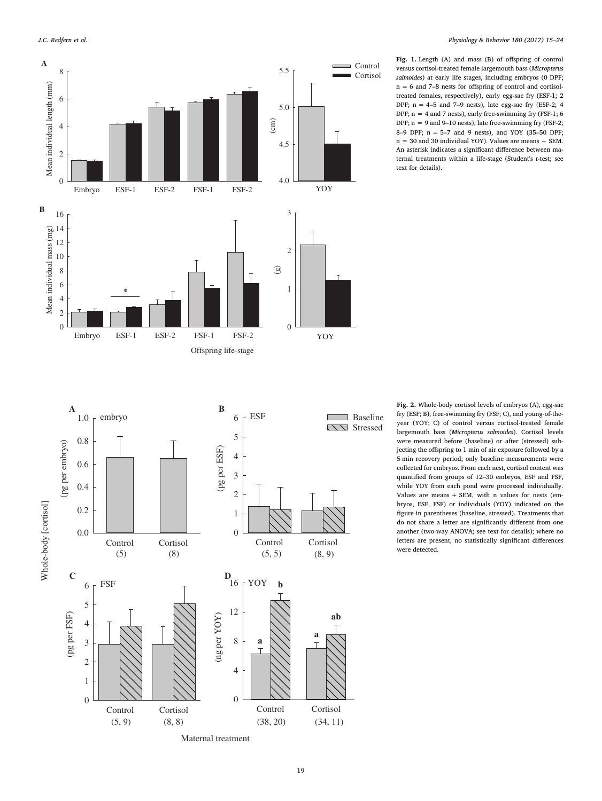**A**

<span id="page-4-0"></span>

**B**

Fig. 1. Length (A) and mass (B) of offspring of control versus cortisol-treated female largemouth bass (Micropterus salmoides) at early life stages, including embryos (0 DPF; n = 6 and 7–8 nests for offspring of control and cortisoltreated females, respectively), early egg-sac fry (ESF-1; 2 DPF;  $n = 4-5$  and  $7-9$  nests), late egg-sac fry (ESF-2; 4 DPF; n = 4 and 7 nests), early free-swimming fry (FSF-1; 6 DPF;  $n = 9$  and 9–10 nests), late free-swimming fry (FSF-2; 8–9 DPF; n = 5–7 and 9 nests), and YOY (35–50 DPF; n = 30 and 30 individual YOY). Values are means + SEM. An asterisk indicates a significant difference between maternal treatments within a life-stage (Student's t-test; see text for details).

<span id="page-4-1"></span>ESF 1.0 embryo  $6 \t{F}$  Baseline 5 0.8 (pg per embryo) (pg per embryo) pg per ESF) (pg per ESF) 4 0.6 3 0.4 2 Whole-body [cortisol] Whole-body [cortisol] 0.2 1 0.0 0 Control Cortisol Control Cortisol (5) (8)  $(5, 5)$   $(8, 9)$  $D$ <sub>16</sub> **C** D FSF  $\qquad \qquad$   $\qquad \qquad$   $\qquad$   $\qquad$   $\qquad$   $\qquad$   $\qquad$   $\qquad$   $\qquad$   $\qquad$   $\qquad$   $\qquad$   $\qquad$   $\qquad$   $\qquad$   $\qquad$   $\qquad$   $\qquad$   $\qquad$   $\qquad$   $\qquad$   $\qquad$   $\qquad$   $\qquad$   $\qquad$   $\qquad$   $\qquad$   $\qquad$   $\qquad$   $\qquad$   $\qquad$   $\qquad$   $\qquad$   $\qquad$   $\qquad$  **b** 6 5 12 (pg per FSF) (ng per  $\mathop{\mathrm{YOY}}$ (pg per FSF) (ng per YOY) 4 **a** 8 3 **a** 2 4 1 0 0

Control Cortisol

Fig. 2. Whole-body cortisol levels of embryos (A), egg-sac fry (ESF; B), free-swimming fry (FSF; C), and young-of-theyear (YOY; C) of control versus cortisol-treated female largemouth bass (Micropterus salmoides). Cortisol levels were measured before (baseline) or after (stressed) subjecting the offspring to 1 min of air exposure followed by a 5 min recovery period; only baseline measurements were collected for embryos. From each nest, cortisol content was quantified from groups of 12–30 embryos, ESF and FSF, while YOY from each pond were processed individually. Values are means + SEM, with n values for nests (embryos, ESF, FSF) or individuals (YOY) indicated on the figure in parentheses (baseline, stressed). Treatments that do not share a letter are significantly different from one another (two-way ANOVA; see text for details); where no letters are present, no statistically significant differences were detected.

Maternal treatment

 $(5, 9)$   $(8, 8)$   $(38, 20)$   $(34, 11)$ 

Control Cortisol

**ab**

**Stressed**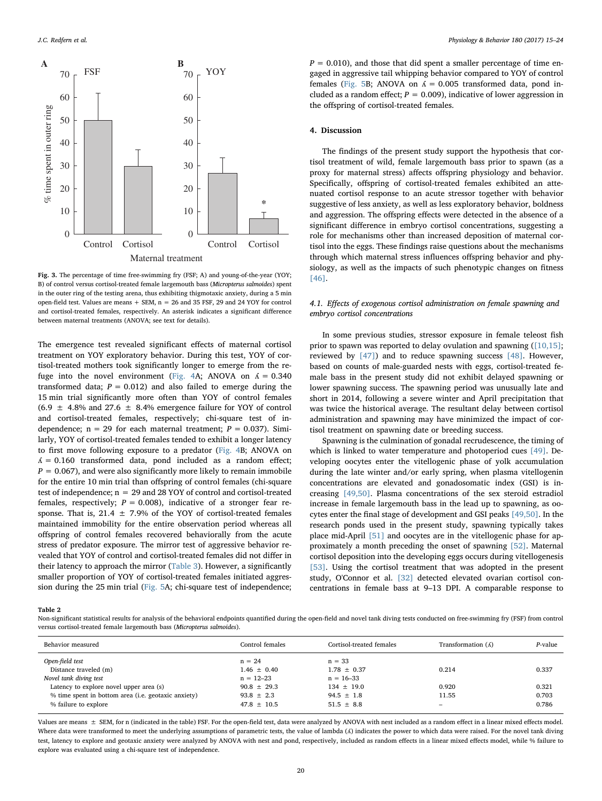<span id="page-5-0"></span>

Fig. 3. The percentage of time free-swimming fry (FSF; A) and young-of-the-year (YOY; B) of control versus cortisol-treated female largemouth bass (Micropterus salmoides) spent in the outer ring of the testing arena, thus exhibiting thigmotaxic anxiety, during a 5 min open-field test. Values are means + SEM, n = 26 and 35 FSF, 29 and 24 YOY for control and cortisol-treated females, respectively. An asterisk indicates a significant difference between maternal treatments (ANOVA; see text for details).

The emergence test revealed significant effects of maternal cortisol treatment on YOY exploratory behavior. During this test, YOY of cortisol-treated mothers took significantly longer to emerge from the re-fuge into the novel environment [\(Fig. 4](#page-6-0)A; ANOVA on  $\Lambda = 0.340$ transformed data;  $P = 0.012$ ) and also failed to emerge during the 15 min trial significantly more often than YOY of control females  $(6.9 \pm 4.8\%$  and 27.6  $\pm$  8.4% emergence failure for YOY of control and cortisol-treated females, respectively; chi-square test of independence;  $n = 29$  for each maternal treatment;  $P = 0.037$ ). Similarly, YOY of cortisol-treated females tended to exhibit a longer latency to first move following exposure to a predator [\(Fig. 4B](#page-6-0); ANOVA on  $\Lambda = 0.160$  transformed data, pond included as a random effect;  $P = 0.067$ , and were also significantly more likely to remain immobile for the entire 10 min trial than offspring of control females (chi-square test of independence; n = 29 and 28 YOY of control and cortisol-treated females, respectively;  $P = 0.008$ ), indicative of a stronger fear response. That is, 21.4  $\pm$  7.9% of the YOY of cortisol-treated females maintained immobility for the entire observation period whereas all offspring of control females recovered behaviorally from the acute stress of predator exposure. The mirror test of aggressive behavior revealed that YOY of control and cortisol-treated females did not differ in their latency to approach the mirror ([Table 3\)](#page-6-1). However, a significantly smaller proportion of YOY of cortisol-treated females initiated aggression during the 25 min trial ([Fig. 5](#page-6-2)A; chi-square test of independence;

 $P = 0.010$ , and those that did spent a smaller percentage of time engaged in aggressive tail whipping behavior compared to YOY of control females [\(Fig. 5](#page-6-2)B; ANOVA on  $\Lambda = 0.005$  transformed data, pond included as a random effect;  $P = 0.009$ ), indicative of lower aggression in the offspring of cortisol-treated females.

### 4. Discussion

The findings of the present study support the hypothesis that cortisol treatment of wild, female largemouth bass prior to spawn (as a proxy for maternal stress) affects offspring physiology and behavior. Specifically, offspring of cortisol-treated females exhibited an attenuated cortisol response to an acute stressor together with behavior suggestive of less anxiety, as well as less exploratory behavior, boldness and aggression. The offspring effects were detected in the absence of a significant difference in embryo cortisol concentrations, suggesting a role for mechanisms other than increased deposition of maternal cortisol into the eggs. These findings raise questions about the mechanisms through which maternal stress influences offspring behavior and physiology, as well as the impacts of such phenotypic changes on fitness [\[46\]](#page-9-3).

# 4.1. Effects of exogenous cortisol administration on female spawning and embryo cortisol concentrations

In some previous studies, stressor exposure in female teleost fish prior to spawn was reported to delay ovulation and spawning [\(\[10,15\]](#page-8-7); reviewed by [\[47\]](#page-9-4)) and to reduce spawning success [\[48\]](#page-9-5). However, based on counts of male-guarded nests with eggs, cortisol-treated female bass in the present study did not exhibit delayed spawning or lower spawning success. The spawning period was unusually late and short in 2014, following a severe winter and April precipitation that was twice the historical average. The resultant delay between cortisol administration and spawning may have minimized the impact of cortisol treatment on spawning date or breeding success.

Spawning is the culmination of gonadal recrudescence, the timing of which is linked to water temperature and photoperiod cues [\[49\]](#page-9-6). Developing oocytes enter the vitellogenic phase of yolk accumulation during the late winter and/or early spring, when plasma vitellogenin concentrations are elevated and gonadosomatic index (GSI) is increasing [\[49,50\].](#page-9-6) Plasma concentrations of the sex steroid estradiol increase in female largemouth bass in the lead up to spawning, as oocytes enter the final stage of development and GSI peaks [\[49,50\].](#page-9-6) In the research ponds used in the present study, spawning typically takes place mid-April [\[51\]](#page-9-7) and oocytes are in the vitellogenic phase for approximately a month preceding the onset of spawning [\[52\].](#page-9-8) Maternal cortisol deposition into the developing eggs occurs during vitellogenesis [\[53\]](#page-9-9). Using the cortisol treatment that was adopted in the present study, O'Connor et al. [\[32\]](#page-8-22) detected elevated ovarian cortisol concentrations in female bass at 9–13 DPI. A comparable response to

<span id="page-5-1"></span>Table 2

Non-significant statistical results for analysis of the behavioral endpoints quantified during the open-field and novel tank diving tests conducted on free-swimming fry (FSF) from control versus cortisol-treated female largemouth bass (Micropterus salmoides).

| Control females | Cortisol-treated females | Transformation $(\Lambda)$ | P-value |
|-----------------|--------------------------|----------------------------|---------|
| $n = 24$        | $n = 33$                 |                            |         |
| $1.46 \pm 0.40$ | $1.78 + 0.37$            | 0.214                      | 0.337   |
| $n = 12 - 23$   | $n = 16 - 33$            |                            |         |
| $90.8 \pm 29.3$ | $134 \pm 19.0$           | 0.920                      | 0.321   |
| $93.8 \pm 2.3$  | $94.5 \pm 1.8$           | 11.55                      | 0.703   |
| $47.8 \pm 10.5$ | $51.5 \pm 8.8$           | -                          | 0.786   |
|                 |                          |                            |         |

Values are means  $\pm$  SEM, for n (indicated in the table) FSF. For the open-field test, data were analyzed by ANOVA with nest included as a random effect in a linear mixed effects model. Where data were transformed to meet the underlying assumptions of parametric tests, the value of lambda (A) indicates the power to which data were raised. For the novel tank diving test, latency to explore and geotaxic anxiety were analyzed by ANOVA with nest and pond, respectively, included as random effects in a linear mixed effects model, while % failure to explore was evaluated using a chi-square test of independence.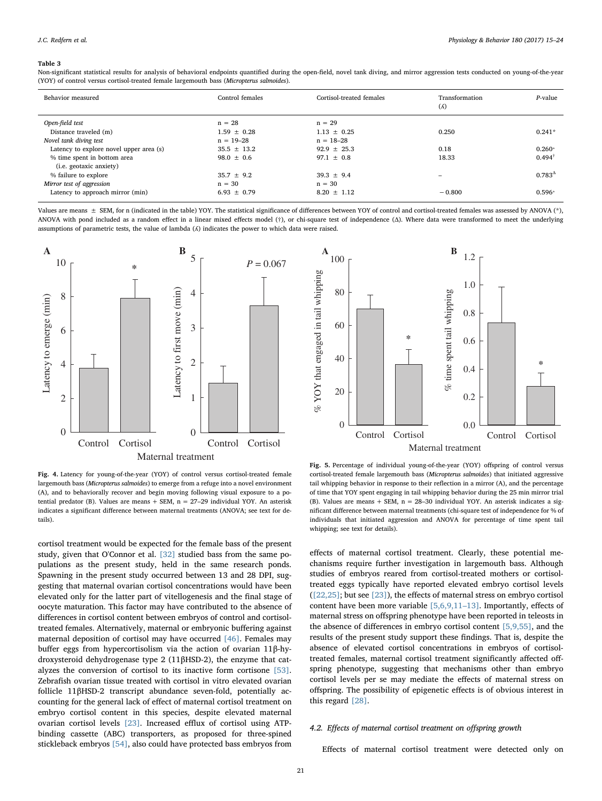#### <span id="page-6-1"></span>Table 3

Non-significant statistical results for analysis of behavioral endpoints quantified during the open-field, novel tank diving, and mirror aggression tests conducted on young-of-the-year (YOY) of control versus cortisol-treated female largemouth bass (Micropterus salmoides).

| Behavior measured                       | Control females | Cortisol-treated females | Transformation<br>$(\Lambda)$ | $P$ -value           |
|-----------------------------------------|-----------------|--------------------------|-------------------------------|----------------------|
| Open-field test                         | $n = 28$        | $n = 29$                 |                               |                      |
| Distance traveled (m)                   | $1.59 \pm 0.28$ | $1.13 \pm 0.25$          | 0.250                         | $0.241*$             |
| Novel tank diving test                  | $n = 19 - 28$   | $n = 18 - 28$            |                               |                      |
| Latency to explore novel upper area (s) | $35.5 \pm 13.2$ | $92.9 + 25.3$            | 0.18                          | $0.260*$             |
| % time spent in bottom area             | $98.0 \pm 0.6$  | $97.1 \pm 0.8$           | 18.33                         | $0.494$ <sup>†</sup> |
| ( <i>i.e.</i> geotaxic anxiety)         |                 |                          |                               |                      |
| % failure to explore                    | $35.7 \pm 9.2$  | $39.3 \pm 9.4$           |                               | $0.783^{\Delta}$     |
| Mirror test of aggression               | $n = 30$        | $n = 30$                 |                               |                      |
| Latency to approach mirror (min)        | $6.93 \pm 0.79$ | $8.20 \pm 1.12$          | $-0.800$                      | $0.596*$             |
|                                         |                 |                          |                               |                      |

Values are means  $\pm$  SEM, for n (indicated in the table) YOY. The statistical significance of differences between YOY of control and cortisol-treated females was assessed by ANOVA (\*), ANOVA with pond included as a random effect in a linear mixed effects model (†), or chi-square test of independence (Δ). Where data were transformed to meet the underlying assumptions of parametric tests, the value of lambda (ʎ) indicates the power to which data were raised.

<span id="page-6-0"></span>

Fig. 4. Latency for young-of-the-year (YOY) of control versus cortisol-treated female largemouth bass (Micropterus salmoides) to emerge from a refuge into a novel environment (A), and to behaviorally recover and begin moving following visual exposure to a potential predator (B). Values are means  $+$  SEM,  $n = 27-29$  individual YOY. An asterisk indicates a significant difference between maternal treatments (ANOVA; see text for details).

cortisol treatment would be expected for the female bass of the present study, given that O'Connor et al. [\[32\]](#page-8-22) studied bass from the same populations as the present study, held in the same research ponds. Spawning in the present study occurred between 13 and 28 DPI, suggesting that maternal ovarian cortisol concentrations would have been elevated only for the latter part of vitellogenesis and the final stage of oocyte maturation. This factor may have contributed to the absence of differences in cortisol content between embryos of control and cortisoltreated females. Alternatively, maternal or embryonic buffering against maternal deposition of cortisol may have occurred [\[46\]](#page-9-3). Females may buffer eggs from hypercortisolism via the action of ovarian 11β-hydroxysteroid dehydrogenase type 2 (11βHSD-2), the enzyme that catalyzes the conversion of cortisol to its inactive form cortisone [\[53\]](#page-9-9). Zebrafish ovarian tissue treated with cortisol in vitro elevated ovarian follicle 11βHSD-2 transcript abundance seven-fold, potentially accounting for the general lack of effect of maternal cortisol treatment on embryo cortisol content in this species, despite elevated maternal ovarian cortisol levels [\[23\].](#page-8-18) Increased efflux of cortisol using ATPbinding cassette (ABC) transporters, as proposed for three-spined stickleback embryos [\[54\],](#page-9-10) also could have protected bass embryos from

<span id="page-6-2"></span>

Fig. 5. Percentage of individual young-of-the-year (YOY) offspring of control versus cortisol-treated female largemouth bass (Micropterus salmoides) that initiated aggressive tail whipping behavior in response to their reflection in a mirror (A), and the percentage of time that YOY spent engaging in tail whipping behavior during the 25 min mirror trial (B). Values are means + SEM, n = 28–30 individual YOY. An asterisk indicates a significant difference between maternal treatments (chi-square test of independence for % of individuals that initiated aggression and ANOVA for percentage of time spent tail whipping; see text for details).

effects of maternal cortisol treatment. Clearly, these potential mechanisms require further investigation in largemouth bass. Although studies of embryos reared from cortisol-treated mothers or cortisoltreated eggs typically have reported elevated embryo cortisol levels ([\[22,25\];](#page-8-33) but see [\[23\]](#page-8-18)), the effects of maternal stress on embryo cortisol content have been more variable [\[5,6,9,11](#page-8-4)–13]. Importantly, effects of maternal stress on offspring phenotype have been reported in teleosts in the absence of differences in embryo cortisol content [\[5,9,55\]](#page-8-4), and the results of the present study support these findings. That is, despite the absence of elevated cortisol concentrations in embryos of cortisoltreated females, maternal cortisol treatment significantly affected offspring phenotype, suggesting that mechanisms other than embryo cortisol levels per se may mediate the effects of maternal stress on offspring. The possibility of epigenetic effects is of obvious interest in this regard [\[28\]](#page-8-20).

# 4.2. Effects of maternal cortisol treatment on offspring growth

Effects of maternal cortisol treatment were detected only on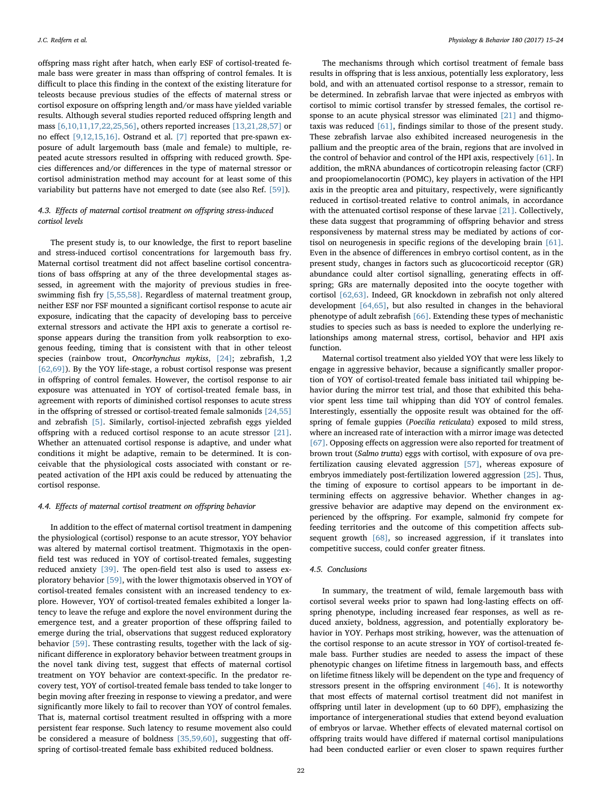offspring mass right after hatch, when early ESF of cortisol-treated female bass were greater in mass than offspring of control females. It is difficult to place this finding in the context of the existing literature for teleosts because previous studies of the effects of maternal stress or cortisol exposure on offspring length and/or mass have yielded variable results. Although several studies reported reduced offspring length and mass [\[6,10,11,17,22,25,56\]](#page-8-21), others reported increases [\[13,21,28,57\]](#page-8-10) or no effect [\[9,12,15,16\].](#page-8-6) Ostrand et al. [\[7\]](#page-8-34) reported that pre-spawn exposure of adult largemouth bass (male and female) to multiple, repeated acute stressors resulted in offspring with reduced growth. Species differences and/or differences in the type of maternal stressor or cortisol administration method may account for at least some of this variability but patterns have not emerged to date (see also Ref. [\[59\]\)](#page-9-11).

# 4.3. Effects of maternal cortisol treatment on offspring stress-induced cortisol levels

The present study is, to our knowledge, the first to report baseline and stress-induced cortisol concentrations for largemouth bass fry. Maternal cortisol treatment did not affect baseline cortisol concentrations of bass offspring at any of the three developmental stages assessed, in agreement with the majority of previous studies in freeswimming fish fry [\[5,55,58\].](#page-8-4) Regardless of maternal treatment group, neither ESF nor FSF mounted a significant cortisol response to acute air exposure, indicating that the capacity of developing bass to perceive external stressors and activate the HPI axis to generate a cortisol response appears during the transition from yolk reabsorption to exogenous feeding, timing that is consistent with that in other teleost species (rainbow trout, Oncorhynchus mykiss, [\[24\];](#page-8-35) zebrafish, 1,2 [\[62,69\]\)](#page-9-12). By the YOY life-stage, a robust cortisol response was present in offspring of control females. However, the cortisol response to air exposure was attenuated in YOY of cortisol-treated female bass, in agreement with reports of diminished cortisol responses to acute stress in the offspring of stressed or cortisol-treated female salmonids [\[24,55\]](#page-8-35) and zebrafish [\[5\].](#page-8-4) Similarly, cortisol-injected zebrafish eggs yielded offspring with a reduced cortisol response to an acute stressor [\[21\]](#page-8-19). Whether an attenuated cortisol response is adaptive, and under what conditions it might be adaptive, remain to be determined. It is conceivable that the physiological costs associated with constant or repeated activation of the HPI axis could be reduced by attenuating the cortisol response.

#### 4.4. Effects of maternal cortisol treatment on offspring behavior

In addition to the effect of maternal cortisol treatment in dampening the physiological (cortisol) response to an acute stressor, YOY behavior was altered by maternal cortisol treatment. Thigmotaxis in the openfield test was reduced in YOY of cortisol-treated females, suggesting reduced anxiety [\[39\]](#page-8-36). The open-field test also is used to assess exploratory behavior [\[59\],](#page-9-11) with the lower thigmotaxis observed in YOY of cortisol-treated females consistent with an increased tendency to explore. However, YOY of cortisol-treated females exhibited a longer latency to leave the refuge and explore the novel environment during the emergence test, and a greater proportion of these offspring failed to emerge during the trial, observations that suggest reduced exploratory behavior [\[59\]](#page-9-11). These contrasting results, together with the lack of significant difference in exploratory behavior between treatment groups in the novel tank diving test, suggest that effects of maternal cortisol treatment on YOY behavior are context-specific. In the predator recovery test, YOY of cortisol-treated female bass tended to take longer to begin moving after freezing in response to viewing a predator, and were significantly more likely to fail to recover than YOY of control females. That is, maternal cortisol treatment resulted in offspring with a more persistent fear response. Such latency to resume movement also could be considered a measure of boldness [\[35,59,60\]](#page-8-25), suggesting that offspring of cortisol-treated female bass exhibited reduced boldness.

The mechanisms through which cortisol treatment of female bass results in offspring that is less anxious, potentially less exploratory, less bold, and with an attenuated cortisol response to a stressor, remain to be determined. In zebrafish larvae that were injected as embryos with cortisol to mimic cortisol transfer by stressed females, the cortisol response to an acute physical stressor was eliminated [\[21\]](#page-8-19) and thigmotaxis was reduced [\[61\],](#page-9-13) findings similar to those of the present study. These zebrafish larvae also exhibited increased neurogenesis in the pallium and the preoptic area of the brain, regions that are involved in the control of behavior and control of the HPI axis, respectively [\[61\]](#page-9-13). In addition, the mRNA abundances of corticotropin releasing factor (CRF) and proopiomelanocortin (POMC), key players in activation of the HPI axis in the preoptic area and pituitary, respectively, were significantly reduced in cortisol-treated relative to control animals, in accordance with the attenuated cortisol response of these larvae [\[21\]](#page-8-19). Collectively, these data suggest that programming of offspring behavior and stress responsiveness by maternal stress may be mediated by actions of cortisol on neurogenesis in specific regions of the developing brain [\[61\]](#page-9-13). Even in the absence of differences in embryo cortisol content, as in the present study, changes in factors such as glucocorticoid receptor (GR) abundance could alter cortisol signalling, generating effects in offspring; GRs are maternally deposited into the oocyte together with cortisol [\[62,63\].](#page-9-12) Indeed, GR knockdown in zebrafish not only altered development [\[64,65\],](#page-9-14) but also resulted in changes in the behavioral phenotype of adult zebrafish [\[66\]](#page-9-15). Extending these types of mechanistic studies to species such as bass is needed to explore the underlying relationships among maternal stress, cortisol, behavior and HPI axis function.

Maternal cortisol treatment also yielded YOY that were less likely to engage in aggressive behavior, because a significantly smaller proportion of YOY of cortisol-treated female bass initiated tail whipping behavior during the mirror test trial, and those that exhibited this behavior spent less time tail whipping than did YOY of control females. Interestingly, essentially the opposite result was obtained for the offspring of female guppies (Poecilia reticulata) exposed to mild stress, where an increased rate of interaction with a mirror image was detected [\[67\]](#page-9-16). Opposing effects on aggression were also reported for treatment of brown trout (Salmo trutta) eggs with cortisol, with exposure of ova prefertilization causing elevated aggression [\[57\],](#page-9-17) whereas exposure of embryos immediately post-fertilization lowered aggression [\[25\]](#page-8-37). Thus, the timing of exposure to cortisol appears to be important in determining effects on aggressive behavior. Whether changes in aggressive behavior are adaptive may depend on the environment experienced by the offspring. For example, salmonid fry compete for feeding territories and the outcome of this competition affects subsequent growth [\[68\]](#page-9-18), so increased aggression, if it translates into competitive success, could confer greater fitness.

# 4.5. Conclusions

In summary, the treatment of wild, female largemouth bass with cortisol several weeks prior to spawn had long-lasting effects on offspring phenotype, including increased fear responses, as well as reduced anxiety, boldness, aggression, and potentially exploratory behavior in YOY. Perhaps most striking, however, was the attenuation of the cortisol response to an acute stressor in YOY of cortisol-treated female bass. Further studies are needed to assess the impact of these phenotypic changes on lifetime fitness in largemouth bass, and effects on lifetime fitness likely will be dependent on the type and frequency of stressors present in the offspring environment [\[46\]](#page-9-3). It is noteworthy that most effects of maternal cortisol treatment did not manifest in offspring until later in development (up to 60 DPF), emphasizing the importance of intergenerational studies that extend beyond evaluation of embryos or larvae. Whether effects of elevated maternal cortisol on offspring traits would have differed if maternal cortisol manipulations had been conducted earlier or even closer to spawn requires further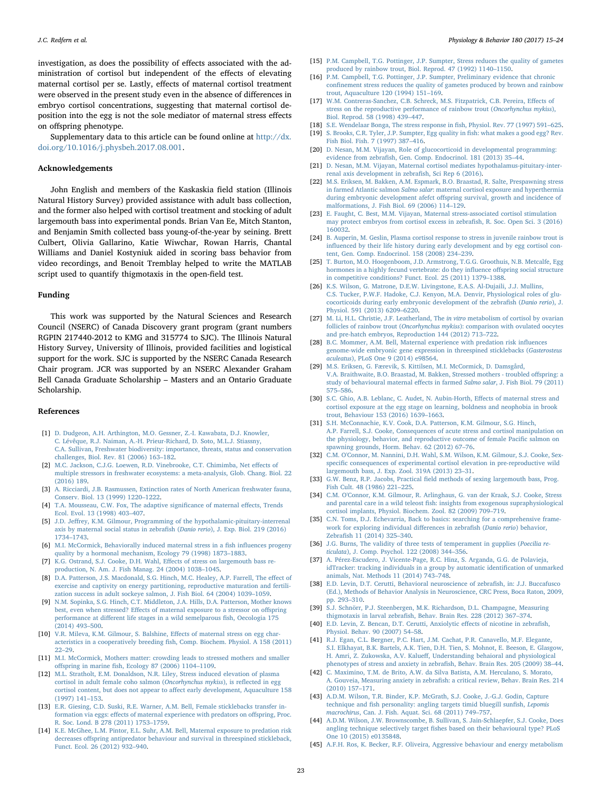investigation, as does the possibility of effects associated with the administration of cortisol but independent of the effects of elevating maternal cortisol per se. Lastly, effects of maternal cortisol treatment were observed in the present study even in the absence of differences in embryo cortisol concentrations, suggesting that maternal cortisol deposition into the egg is not the sole mediator of maternal stress effects on offspring phenotype.

Supplementary data to this article can be found online at [http://dx.](http://dx.doi.org/10.1016/j.physbeh.2017.08.001) [doi.org/10.1016/j.physbeh.2017.08.001.](http://dx.doi.org/10.1016/j.physbeh.2017.08.001)

### Acknowledgements

John English and members of the Kaskaskia field station (Illinois Natural History Survey) provided assistance with adult bass collection, and the former also helped with cortisol treatment and stocking of adult largemouth bass into experimental ponds. Brian Van Ee, Mitch Stanton, and Benjamin Smith collected bass young-of-the-year by seining. Brett Culbert, Olivia Gallarino, Katie Wiwchar, Rowan Harris, Chantal Williams and Daniel Kostyniuk aided in scoring bass behavior from video recordings, and Benoit Tremblay helped to write the MATLAB script used to quantify thigmotaxis in the open-field test.

#### Funding

This work was supported by the Natural Sciences and Research Council (NSERC) of Canada Discovery grant program (grant numbers RGPIN 217440-2012 to KMG and 315774 to SJC). The Illinois Natural History Survey, University of Illinois, provided facilities and logistical support for the work. SJC is supported by the NSERC Canada Research Chair program. JCR was supported by an NSERC Alexander Graham Bell Canada Graduate Scholarship – Masters and an Ontario Graduate Scholarship.

#### References

- <span id="page-8-0"></span>[1] [D. Dudgeon, A.H. Arthington, M.O. Gessner, Z.-I. Kawabata, D.J. Knowler,](http://refhub.elsevier.com/S0031-9384(17)30235-4/rf0005) [C. Lévêque, R.J. Naiman, A.-H. Prieur-Richard, D. Soto, M.L.J. Stiassny,](http://refhub.elsevier.com/S0031-9384(17)30235-4/rf0005) [C.A. Sullivan, Freshwater biodiversity: importance, threats, status and conservation](http://refhub.elsevier.com/S0031-9384(17)30235-4/rf0005) [challenges, Biol. Rev. 81 \(2006\) 163](http://refhub.elsevier.com/S0031-9384(17)30235-4/rf0005)–182.
- <span id="page-8-1"></span>[2] [M.C. Jackson, C.J.G. Loewen, R.D. Vinebrooke, C.T. Chimimba, Net e](http://refhub.elsevier.com/S0031-9384(17)30235-4/rf0010)ffects of [multiple stressors in freshwater ecosystems: a meta-analysis, Glob. Chang. Biol. 22](http://refhub.elsevier.com/S0031-9384(17)30235-4/rf0010) [\(2016\) 189.](http://refhub.elsevier.com/S0031-9384(17)30235-4/rf0010)
- <span id="page-8-2"></span>[3] [A. Ricciardi, J.B. Rasmussen, Extinction rates of North American freshwater fauna,](http://refhub.elsevier.com/S0031-9384(17)30235-4/rf0015) [Conserv. Biol. 13 \(1999\) 1220](http://refhub.elsevier.com/S0031-9384(17)30235-4/rf0015)–1222.
- <span id="page-8-3"></span>[4] [T.A. Mousseau, C.W. Fox, The adaptive signi](http://refhub.elsevier.com/S0031-9384(17)30235-4/rf0020)ficance of maternal effects, Trends [Ecol. Evol. 13 \(1998\) 403](http://refhub.elsevier.com/S0031-9384(17)30235-4/rf0020)–407.
- <span id="page-8-4"></span>[5] J.D. Jeff[rey, K.M. Gilmour, Programming of the hypothalamic-pituitary-interrenal](http://refhub.elsevier.com/S0031-9384(17)30235-4/rf0025) [axis by maternal social status in zebra](http://refhub.elsevier.com/S0031-9384(17)30235-4/rf0025)fish (Danio rerio), J. Exp. Biol. 219 (2016) 1734–[1743.](http://refhub.elsevier.com/S0031-9384(17)30235-4/rf0025)
- <span id="page-8-21"></span>[6] [M.I. McCormick, Behaviorally induced maternal stress in a](http://refhub.elsevier.com/S0031-9384(17)30235-4/rf0030) fish influences progeny [quality by a hormonal mechanism, Ecology 79 \(1998\) 1873](http://refhub.elsevier.com/S0031-9384(17)30235-4/rf0030)–1883.
- <span id="page-8-34"></span>[7] [K.G. Ostrand, S.J. Cooke, D.H. Wahl, E](http://refhub.elsevier.com/S0031-9384(17)30235-4/rf0035)ffects of stress on largemouth bass re[production, N. Am. J. Fish Manag. 24 \(2004\) 1038](http://refhub.elsevier.com/S0031-9384(17)30235-4/rf0035)–1045.
- <span id="page-8-5"></span>[8] [D.A. Patterson, J.S. Macdonald, S.G. Hinch, M.C. Healey, A.P. Farrell, The e](http://refhub.elsevier.com/S0031-9384(17)30235-4/rf0040)ffect of [exercise and captivity on energy partitioning, reproductive maturation and fertili](http://refhub.elsevier.com/S0031-9384(17)30235-4/rf0040)[zation success in adult sockeye salmon, J. Fish Biol. 64 \(2004\) 1039](http://refhub.elsevier.com/S0031-9384(17)30235-4/rf0040)–1059.
- <span id="page-8-6"></span>[9] [N.M. Sopinka, S.G. Hinch, C.T. Middleton, J.A. Hills, D.A. Patterson, Mother knows](http://refhub.elsevier.com/S0031-9384(17)30235-4/rf0045) best, even when stressed? Eff[ects of maternal exposure to a stressor on o](http://refhub.elsevier.com/S0031-9384(17)30235-4/rf0045)ffspring performance at diff[erent life stages in a wild semelparous](http://refhub.elsevier.com/S0031-9384(17)30235-4/rf0045) fish, Oecologia 175 [\(2014\) 493](http://refhub.elsevier.com/S0031-9384(17)30235-4/rf0045)–500.
- <span id="page-8-7"></span>[10] [V.R. Mileva, K.M. Gilmour, S. Balshine, E](http://refhub.elsevier.com/S0031-9384(17)30235-4/rf0050)ffects of maternal stress on egg characteristics in a cooperatively breeding fi[sh, Comp. Biochem. Physiol. A 158 \(2011\)](http://refhub.elsevier.com/S0031-9384(17)30235-4/rf0050) 22–[29.](http://refhub.elsevier.com/S0031-9384(17)30235-4/rf0050)
- <span id="page-8-8"></span>[11] [M.I. McCormick, Mothers matter: crowding leads to stressed mothers and smaller](http://refhub.elsevier.com/S0031-9384(17)30235-4/rf0055) offspring in marine fi[sh, Ecology 87 \(2006\) 1104](http://refhub.elsevier.com/S0031-9384(17)30235-4/rf0055)–1109.
- <span id="page-8-9"></span>[12] [M.L. Stratholt, E.M. Donaldson, N.R. Liley, Stress induced elevation of plasma](http://refhub.elsevier.com/S0031-9384(17)30235-4/rf0060) [cortisol in adult female coho salmon \(](http://refhub.elsevier.com/S0031-9384(17)30235-4/rf0060)Oncorhynchus mykiss), is reflected in egg [cortisol content, but does not appear to a](http://refhub.elsevier.com/S0031-9384(17)30235-4/rf0060)ffect early development, Aquaculture 158 [\(1997\) 141](http://refhub.elsevier.com/S0031-9384(17)30235-4/rf0060)–153.
- <span id="page-8-10"></span>[13] [E.R. Giesing, C.D. Suski, R.E. Warner, A.M. Bell, Female sticklebacks transfer in](http://refhub.elsevier.com/S0031-9384(17)30235-4/rf0065)formation via eggs: eff[ects of maternal experience with predators on o](http://refhub.elsevier.com/S0031-9384(17)30235-4/rf0065)ffspring, Proc. [R. Soc. Lond. B 278 \(2011\) 1753](http://refhub.elsevier.com/S0031-9384(17)30235-4/rf0065)–1759.
- <span id="page-8-11"></span>[14] [K.E. McGhee, L.M. Pintor, E.L. Suhr, A.M. Bell, Maternal exposure to predation risk](http://refhub.elsevier.com/S0031-9384(17)30235-4/rf0070) decreases off[spring antipredator behaviour and survival in threespined stickleback,](http://refhub.elsevier.com/S0031-9384(17)30235-4/rf0070) [Funct. Ecol. 26 \(2012\) 932](http://refhub.elsevier.com/S0031-9384(17)30235-4/rf0070)–940.
- <span id="page-8-12"></span>[15] [P.M. Campbell, T.G. Pottinger, J.P. Sumpter, Stress reduces the quality of gametes](http://refhub.elsevier.com/S0031-9384(17)30235-4/rf0075) [produced by rainbow trout, Biol. Reprod. 47 \(1992\) 1140](http://refhub.elsevier.com/S0031-9384(17)30235-4/rf0075)–1150.
- <span id="page-8-13"></span>[16] [P.M. Campbell, T.G. Pottinger, J.P. Sumpter, Preliminary evidence that chronic](http://refhub.elsevier.com/S0031-9384(17)30235-4/rf0080) confi[nement stress reduces the quality of gametes produced by brown and rainbow](http://refhub.elsevier.com/S0031-9384(17)30235-4/rf0080) [trout, Aquaculture 120 \(1994\) 151](http://refhub.elsevier.com/S0031-9384(17)30235-4/rf0080)–169.
- <span id="page-8-14"></span>[17] [W.M. Contreras-Sanchez, C.B. Schreck, M.S. Fitzpatrick, C.B. Pereira, E](http://refhub.elsevier.com/S0031-9384(17)30235-4/rf0085)ffects of [stress on the reproductive performance of rainbow trout \(](http://refhub.elsevier.com/S0031-9384(17)30235-4/rf0085)Oncorhynchus mykiss), [Biol. Reprod. 58 \(1998\) 439](http://refhub.elsevier.com/S0031-9384(17)30235-4/rf0085)–447.
- <span id="page-8-16"></span><span id="page-8-15"></span>[18] [S.E. Wendelaar Bonga, The stress response in](http://refhub.elsevier.com/S0031-9384(17)30235-4/rf0090) fish, Physiol. Rev. 77 (1997) 591–625. [19] [S. Brooks, C.R. Tyler, J.P. Sumpter, Egg quality in](http://refhub.elsevier.com/S0031-9384(17)30235-4/rf0095) fish: what makes a good egg? Rev.
- <span id="page-8-17"></span>[Fish Biol. Fish. 7 \(1997\) 387](http://refhub.elsevier.com/S0031-9384(17)30235-4/rf0095)–416. [20] [D. Nesan, M.M. Vijayan, Role of glucocorticoid in developmental programming:](http://refhub.elsevier.com/S0031-9384(17)30235-4/rf0100)
- <span id="page-8-19"></span>evidence from zebrafi[sh, Gen. Comp. Endocrinol. 181 \(2013\) 35](http://refhub.elsevier.com/S0031-9384(17)30235-4/rf0100)–44. [21] [D. Nesan, M.M. Vijayan, Maternal cortisol mediates hypothalamus-pituitary-inter-](http://refhub.elsevier.com/S0031-9384(17)30235-4/rf0105)
- [renal axis development in zebra](http://refhub.elsevier.com/S0031-9384(17)30235-4/rf0105)fish, Sci Rep 6 (2016).
- <span id="page-8-33"></span>[22] [M.S. Eriksen, M. Bakken, A.M. Espmark, B.O. Braastad, R. Salte, Prespawning stress](http://refhub.elsevier.com/S0031-9384(17)30235-4/rf0110) in farmed Atlantic salmon Salmo salar[: maternal cortisol exposure and hyperthermia](http://refhub.elsevier.com/S0031-9384(17)30235-4/rf0110) [during embryonic development afefct o](http://refhub.elsevier.com/S0031-9384(17)30235-4/rf0110)ffspring survival, growth and incidence of [malformations, J. Fish Biol. 69 \(2006\) 114](http://refhub.elsevier.com/S0031-9384(17)30235-4/rf0110)–129.
- <span id="page-8-18"></span>[23] [E. Faught, C. Best, M.M. Vijayan, Maternal stress-associated cortisol stimulation](http://refhub.elsevier.com/S0031-9384(17)30235-4/rf0115) [may protect embryos from cortisol excess in zebra](http://refhub.elsevier.com/S0031-9384(17)30235-4/rf0115)fish, R. Soc. Open Sci. 3 (2016) [160032.](http://refhub.elsevier.com/S0031-9384(17)30235-4/rf0115)
- <span id="page-8-35"></span>[24] [B. Auperin, M. Geslin, Plasma cortisol response to stress in juvenile rainbow trout is](http://refhub.elsevier.com/S0031-9384(17)30235-4/rf0120) infl[uenced by their life history during early development and by egg cortisol con](http://refhub.elsevier.com/S0031-9384(17)30235-4/rf0120)[tent, Gen. Comp. Endocrinol. 158 \(2008\) 234](http://refhub.elsevier.com/S0031-9384(17)30235-4/rf0120)–239.
- <span id="page-8-37"></span>[25] [T. Burton, M.O. Hoogenboom, J.D. Armstrong, T.G.G. Groothuis, N.B. Metcalfe, Egg](http://refhub.elsevier.com/S0031-9384(17)30235-4/rf0125) [hormones in a highly fecund vertebrate: do they in](http://refhub.elsevier.com/S0031-9384(17)30235-4/rf0125)fluence offspring social structure [in competitive conditions? Funct. Ecol. 25 \(2011\) 1379](http://refhub.elsevier.com/S0031-9384(17)30235-4/rf0125)–1388.
- [26] [K.S. Wilson, G. Matrone, D.E.W. Livingstone, E.A.S. Al-Dujaili, J.J. Mullins,](http://refhub.elsevier.com/S0031-9384(17)30235-4/rf0130) [C.S. Tucker, P.W.F. Hadoke, C.J. Kenyon, M.A. Denvir, Physiological roles of glu](http://refhub.elsevier.com/S0031-9384(17)30235-4/rf0130)[cocorticoids during early embryonic development of the zebra](http://refhub.elsevier.com/S0031-9384(17)30235-4/rf0130)fish (Danio rerio), J. [Physiol. 591 \(2013\) 6209](http://refhub.elsevier.com/S0031-9384(17)30235-4/rf0130)–6220.
- [27] [M. Li, H.L. Christie, J.F. Leatherland, The](http://refhub.elsevier.com/S0031-9384(17)30235-4/rf0135) in vitro metabolism of cortisol by ovarian follicles of rainbow trout (Oncorhynchus mykiss[\): comparison with ovulated oocytes](http://refhub.elsevier.com/S0031-9384(17)30235-4/rf0135) [and pre-hatch embryos, Reproduction 144 \(2012\) 713](http://refhub.elsevier.com/S0031-9384(17)30235-4/rf0135)–722.
- <span id="page-8-20"></span>[28] [B.C. Mommer, A.M. Bell, Maternal experience with predation risk in](http://refhub.elsevier.com/S0031-9384(17)30235-4/rf0140)fluences [genome-wide embryonic gene expression in threespined sticklebacks \(](http://refhub.elsevier.com/S0031-9384(17)30235-4/rf0140)Gasterosteus aculeatus[\), PLoS One 9 \(2014\) e98564.](http://refhub.elsevier.com/S0031-9384(17)30235-4/rf0140)
- [29] [M.S. Eriksen, G. Færevik, S. Kittilsen, M.I. McCormick, D. Damsgård,](http://refhub.elsevier.com/S0031-9384(17)30235-4/rf0145) [V.A. Braithwaite, B.O. Braastad, M. Bakken, Stressed mothers - troubled o](http://refhub.elsevier.com/S0031-9384(17)30235-4/rf0145)ffspring: a [study of behavioural maternal e](http://refhub.elsevier.com/S0031-9384(17)30235-4/rf0145)ffects in farmed Salmo salar, J. Fish Biol. 79 (2011) 575–[586.](http://refhub.elsevier.com/S0031-9384(17)30235-4/rf0145)
- [30] [S.C. Ghio, A.B. Leblanc, C. Audet, N. Aubin-Horth, E](http://refhub.elsevier.com/S0031-9384(17)30235-4/rf0150)ffects of maternal stress and [cortisol exposure at the egg stage on learning, boldness and neophobia in brook](http://refhub.elsevier.com/S0031-9384(17)30235-4/rf0150) [trout, Behaviour 153 \(2016\) 1639](http://refhub.elsevier.com/S0031-9384(17)30235-4/rf0150)–1663.
- [31] [S.H. McConnachie, K.V. Cook, D.A. Patterson, K.M. Gilmour, S.G. Hinch,](http://refhub.elsevier.com/S0031-9384(17)30235-4/rf0155) [A.P. Farrell, S.J. Cooke, Consequences of acute stress and cortisol manipulation on](http://refhub.elsevier.com/S0031-9384(17)30235-4/rf0155) [the physiology, behavior, and reproductive outcome of female Paci](http://refhub.elsevier.com/S0031-9384(17)30235-4/rf0155)fic salmon on [spawning grounds, Horm. Behav. 62 \(2012\) 67](http://refhub.elsevier.com/S0031-9384(17)30235-4/rf0155)–76.
- <span id="page-8-22"></span>[32] [C.M. O'Connor, M. Nannini, D.H. Wahl, S.M. Wilson, K.M. Gilmour, S.J. Cooke, Sex](http://refhub.elsevier.com/S0031-9384(17)30235-4/rf0160)specific [consequences of experimental cortisol elevation in pre-reproductive wild](http://refhub.elsevier.com/S0031-9384(17)30235-4/rf0160) [largemouth bass, J. Exp. Zool. 319A \(2013\) 23](http://refhub.elsevier.com/S0031-9384(17)30235-4/rf0160)–31.
- <span id="page-8-23"></span>[33] G.W. Benz, R.P. Jacobs, Practical fi[eld methods of sexing largemouth bass, Prog.](http://refhub.elsevier.com/S0031-9384(17)30235-4/rf0165) [Fish Cult. 48 \(1986\) 221](http://refhub.elsevier.com/S0031-9384(17)30235-4/rf0165)–225.
- <span id="page-8-24"></span>[34] [C.M. O'Connor, K.M. Gilmour, R. Arlinghaus, G. van der Kraak, S.J. Cooke, Stress](http://refhub.elsevier.com/S0031-9384(17)30235-4/rf0170) and parental care in a wild teleost fi[sh: insights from exogenous supraphysiological](http://refhub.elsevier.com/S0031-9384(17)30235-4/rf0170) [cortisol implants, Physiol. Biochem. Zool. 82 \(2009\) 709](http://refhub.elsevier.com/S0031-9384(17)30235-4/rf0170)–719.
- <span id="page-8-25"></span>[35] [C.N. Toms, D.J. Echevarria, Back to basics: searching for a comprehensive frame](http://refhub.elsevier.com/S0031-9384(17)30235-4/rf0175)[work for exploring individual di](http://refhub.elsevier.com/S0031-9384(17)30235-4/rf0175)fferences in zebrafish (Danio rerio) behavior, Zebrafi[sh 11 \(2014\) 325](http://refhub.elsevier.com/S0031-9384(17)30235-4/rf0175)–340.
- <span id="page-8-26"></span>[36] [J.G. Burns, The validity of three tests of temperament in gupplies \(](http://refhub.elsevier.com/S0031-9384(17)30235-4/rf0180)Poecilia reticulata[\), J. Comp. Psychol. 122 \(2008\) 344](http://refhub.elsevier.com/S0031-9384(17)30235-4/rf0180)–356.
- <span id="page-8-27"></span>[37] [A. Pérez-Escudero, J. Vicente-Page, R.C. Hinz, S. Arganda, G.G. de Polavieja,](http://refhub.elsevier.com/S0031-9384(17)30235-4/rf0185) [idTracker: tracking individuals in a group by automatic identi](http://refhub.elsevier.com/S0031-9384(17)30235-4/rf0185)fication of unmarked [animals, Nat. Methods 11 \(2014\) 743](http://refhub.elsevier.com/S0031-9384(17)30235-4/rf0185)–748.
- <span id="page-8-28"></span>[38] [E.D. Levin, D.T. Cerutti, Behavioral neuroscience of zebra](http://refhub.elsevier.com/S0031-9384(17)30235-4/rf0190)fish, in: J.J. Buccafusco [\(Ed.\), Methods of Behavior Analysis in Neuroscience, CRC Press, Boca Raton, 2009,](http://refhub.elsevier.com/S0031-9384(17)30235-4/rf0190) [pp. 293](http://refhub.elsevier.com/S0031-9384(17)30235-4/rf0190)–310.
- <span id="page-8-36"></span>[39] [S.J. Schnörr, P.J. Steenbergen, M.K. Richardson, D.L. Champagne, Measuring](http://refhub.elsevier.com/S0031-9384(17)30235-4/rf0195) thigmotaxis in larval zebrafi[sh, Behav. Brain Res. 228 \(2012\) 367](http://refhub.elsevier.com/S0031-9384(17)30235-4/rf0195)–374.
- <span id="page-8-29"></span>[40] [E.D. Levin, Z. Bencan, D.T. Cerutti, Anxiolytic e](http://refhub.elsevier.com/S0031-9384(17)30235-4/rf0200)ffects of nicotine in zebrafish, [Physiol. Behav. 90 \(2007\) 54](http://refhub.elsevier.com/S0031-9384(17)30235-4/rf0200)–58.
- [41] [R.J. Egan, C.L. Bergner, P.C. Hart, J.M. Cachat, P.R. Canavello, M.F. Elegante,](http://refhub.elsevier.com/S0031-9384(17)30235-4/rf0205) [S.I. Elkhayat, B.K. Bartels, A.K. Tien, D.H. Tien, S. Mohnot, E. Beeson, E. Glasgow,](http://refhub.elsevier.com/S0031-9384(17)30235-4/rf0205) H. Amri, Z. Zukowska, A.V. Kalueff[, Understanding behaioral and physiological](http://refhub.elsevier.com/S0031-9384(17)30235-4/rf0205) [phenotypes of stress and anxiety in zebra](http://refhub.elsevier.com/S0031-9384(17)30235-4/rf0205)fish, Behav. Brain Res. 205 (2009) 38–44.
- <span id="page-8-31"></span>[42] [C. Maximino, T.M. de Brito, A.W. da Silva Batista, A.M. Herculano, S. Morato,](http://refhub.elsevier.com/S0031-9384(17)30235-4/rf0210) A. Gouveia, Measuring anxiety in zebrafi[sh: a critical review, Behav. Brain Res. 214](http://refhub.elsevier.com/S0031-9384(17)30235-4/rf0210) [\(2010\) 157](http://refhub.elsevier.com/S0031-9384(17)30235-4/rf0210)–171.
- <span id="page-8-30"></span>[43] A.D.M. [Wilson, T.R. Binder, K.P. McGrath, S.J. Cooke, J.-G.J. Godin, Capture](http://refhub.elsevier.com/S0031-9384(17)30235-4/rf0215) technique and fi[sh personality: angling targets timid bluegill sun](http://refhub.elsevier.com/S0031-9384(17)30235-4/rf0215)fish, Lepomis macrochirus[, Can. J. Fish. Aquat. Sci. 68 \(2011\) 749](http://refhub.elsevier.com/S0031-9384(17)30235-4/rf0215)–757.
- [44] [A.D.M. Wilson, J.W. Brownscombe, B. Sullivan, S. Jain-Schlaepfer, S.J. Cooke, Does](http://refhub.elsevier.com/S0031-9384(17)30235-4/rf0220) angling technique selectively target fi[shes based on their behavioural type? PLoS](http://refhub.elsevier.com/S0031-9384(17)30235-4/rf0220) [One 10 \(2015\) e0135848.](http://refhub.elsevier.com/S0031-9384(17)30235-4/rf0220)
- <span id="page-8-32"></span>[45] [A.F.H. Ros, K. Becker, R.F. Oliveira, Aggressive behaviour and energy metabolism](http://refhub.elsevier.com/S0031-9384(17)30235-4/rf0225)